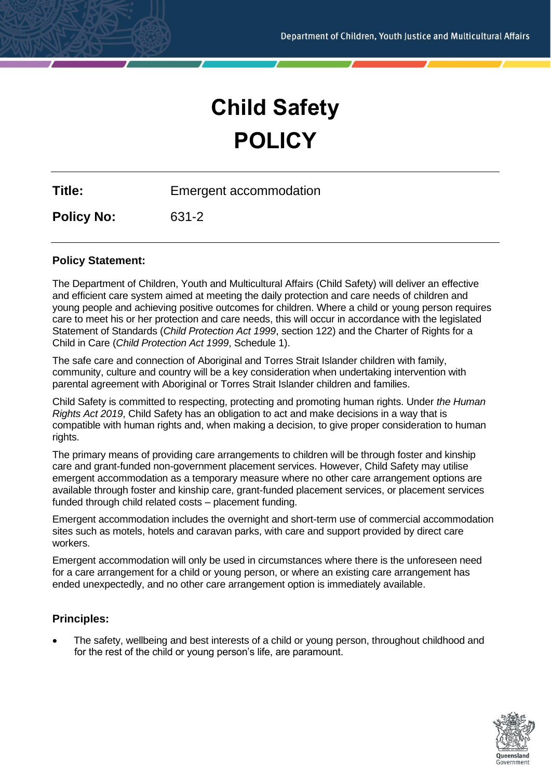# **Child Safety POLICY**

**Title:** Emergent accommodation

**Policy No:** 631-2

## **Policy Statement:**

The Department of Children, Youth and Multicultural Affairs (Child Safety) will deliver an effective and efficient care system aimed at meeting the daily protection and care needs of children and young people and achieving positive outcomes for children. Where a child or young person requires care to meet his or her protection and care needs, this will occur in accordance with the legislated Statement of Standards (*Child Protection Act 1999*, section 122) and the Charter of Rights for a Child in Care (*Child Protection Act 1999*, Schedule 1).

The safe care and connection of Aboriginal and Torres Strait Islander children with family, community, culture and country will be a key consideration when undertaking intervention with parental agreement with Aboriginal or Torres Strait Islander children and families.

Child Safety is committed to respecting, protecting and promoting human rights. Under *the Human Rights Act 2019*, Child Safety has an obligation to act and make decisions in a way that is compatible with human rights and, when making a decision, to give proper consideration to human rights.

The primary means of providing care arrangements to children will be through foster and kinship care and grant-funded non-government placement services. However, Child Safety may utilise emergent accommodation as a temporary measure where no other care arrangement options are available through foster and kinship care, grant-funded placement services, or placement services funded through child related costs – placement funding.

Emergent accommodation includes the overnight and short-term use of commercial accommodation sites such as motels, hotels and caravan parks, with care and support provided by direct care workers.

Emergent accommodation will only be used in circumstances where there is the unforeseen need for a care arrangement for a child or young person, or where an existing care arrangement has ended unexpectedly, and no other care arrangement option is immediately available.

## **Principles:**

• The safety, wellbeing and best interests of a child or young person, throughout childhood and for the rest of the child or young person's life, are paramount.

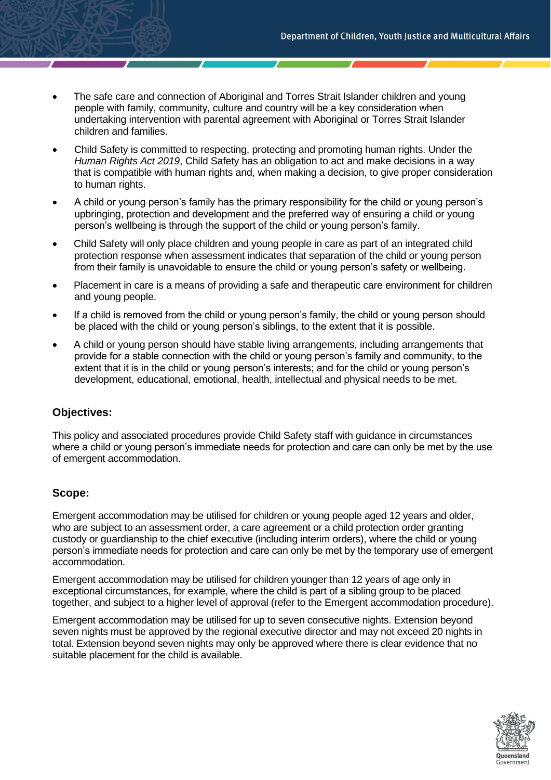- The safe care and connection of Aboriginal and Torres Strait Islander children and young people with family, community, culture and country will be a key consideration when undertaking intervention with parental agreement with Aboriginal or Torres Strait Islander children and families.
- Child Safety is committed to respecting, protecting and promoting human rights. Under the *Human Rights Act 2019*, Child Safety has an obligation to act and make decisions in a way that is compatible with human rights and, when making a decision, to give proper consideration to human rights.
- A child or young person's family has the primary responsibility for the child or young person's upbringing, protection and development and the preferred way of ensuring a child or young person's wellbeing is through the support of the child or young person's family.
- Child Safety will only place children and young people in care as part of an integrated child protection response when assessment indicates that separation of the child or young person from their family is unavoidable to ensure the child or young person's safety or wellbeing.
- Placement in care is a means of providing a safe and therapeutic care environment for children and young people.
- If a child is removed from the child or young person's family, the child or young person should be placed with the child or young person's siblings, to the extent that it is possible.
- A child or young person should have stable living arrangements, including arrangements that provide for a stable connection with the child or young person's family and community, to the extent that it is in the child or young person's interests; and for the child or young person's development, educational, emotional, health, intellectual and physical needs to be met.

## **Objectives:**

This policy and associated procedures provide Child Safety staff with guidance in circumstances where a child or young person's immediate needs for protection and care can only be met by the use of emergent accommodation.

#### **Scope:**

Emergent accommodation may be utilised for children or young people aged 12 years and older, who are subject to an assessment order, a care agreement or a child protection order granting custody or guardianship to the chief executive (including interim orders), where the child or young person's immediate needs for protection and care can only be met by the temporary use of emergent accommodation.

Emergent accommodation may be utilised for children younger than 12 years of age only in exceptional circumstances, for example, where the child is part of a sibling group to be placed together, and subject to a higher level of approval (refer to the Emergent accommodation procedure).

Emergent accommodation may be utilised for up to seven consecutive nights. Extension beyond seven nights must be approved by the regional executive director and may not exceed 20 nights in total. Extension beyond seven nights may only be approved where there is clear evidence that no suitable placement for the child is available.

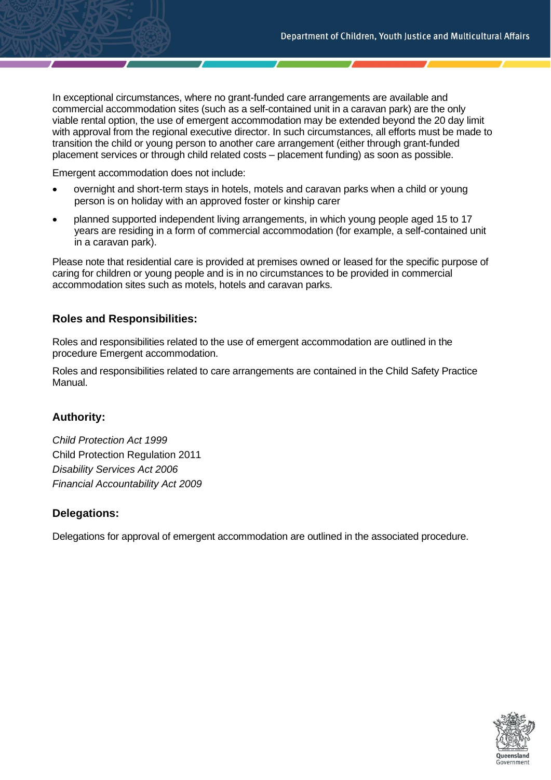In exceptional circumstances, where no grant-funded care arrangements are available and commercial accommodation sites (such as a self-contained unit in a caravan park) are the only viable rental option, the use of emergent accommodation may be extended beyond the 20 day limit with approval from the regional executive director. In such circumstances, all efforts must be made to transition the child or young person to another care arrangement (either through grant-funded placement services or through child related costs – placement funding) as soon as possible.

Emergent accommodation does not include:

- overnight and short-term stays in hotels, motels and caravan parks when a child or young person is on holiday with an approved foster or kinship carer
- planned supported independent living arrangements, in which young people aged 15 to 17 years are residing in a form of commercial accommodation (for example, a self-contained unit in a caravan park).

Please note that residential care is provided at premises owned or leased for the specific purpose of caring for children or young people and is in no circumstances to be provided in commercial accommodation sites such as motels, hotels and caravan parks.

## **Roles and Responsibilities:**

Roles and responsibilities related to the use of emergent accommodation are outlined in the procedure Emergent accommodation.

Roles and responsibilities related to care arrangements are contained in the Child Safety Practice Manual.

#### **Authority:**

*Child Protection Act 1999* Child Protection Regulation 2011 *Disability Services Act 2006 Financial Accountability Act 2009*

#### **Delegations:**

Delegations for approval of emergent accommodation are outlined in the associated procedure.